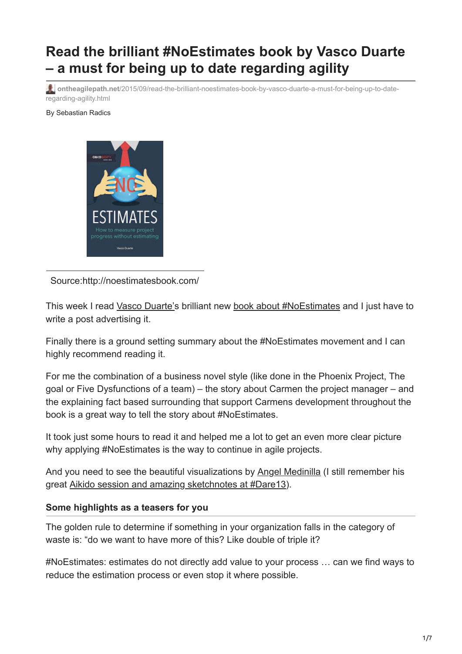## **Read the brilliant #NoEstimates book by Vasco Duarte – a must for being up to date regarding agility**

**ontheagilepath.net**[/2015/09/read-the-brilliant-noestimates-book-by-vasco-duarte-a-must-for-being-up-to-date](https://www.ontheagilepath.net/2015/09/read-the-brilliant-noestimates-book-by-vasco-duarte-a-must-for-being-up-to-date-regarding-agility.html)regarding-agility.html

By Sebastian Radics



Source:http://noestimatesbook.com/

This week I read [Vasco Duarte's](https://twitter.com/duarte_vasco) brilliant new [book about #NoEstimates](https://oikosofyseries.com/noEstimates-book?affiliate_id=327271) and I just have to write a post advertising it.

Finally there is a ground setting summary about the #NoEstimates movement and I can highly recommend reading it.

For me the combination of a business novel style (like done in the Phoenix Project, The goal or Five Dysfunctions of a team) – the story about Carmen the project manager – and the explaining fact based surrounding that support Carmens development throughout the book is a great way to tell the story about #NoEstimates.

It took just some hours to read it and helped me a lot to get an even more clear picture why applying #NoEstimates is the way to continue in agile projects.

And you need to see the beautiful visualizations by [Angel Medinilla](https://twitter.com/angel_m) (I still remember his great [Aikido session and amazing sketchnotes at #Dare13](http://www.ontheagilepath.net/?p=83)).

## **Some highlights as a teasers for you**

The golden rule to determine if something in your organization falls in the category of waste is: "do we want to have more of this? Like double of triple it?

#NoEstimates: estimates do not directly add value to your process … can we find ways to reduce the estimation process or even stop it where possible.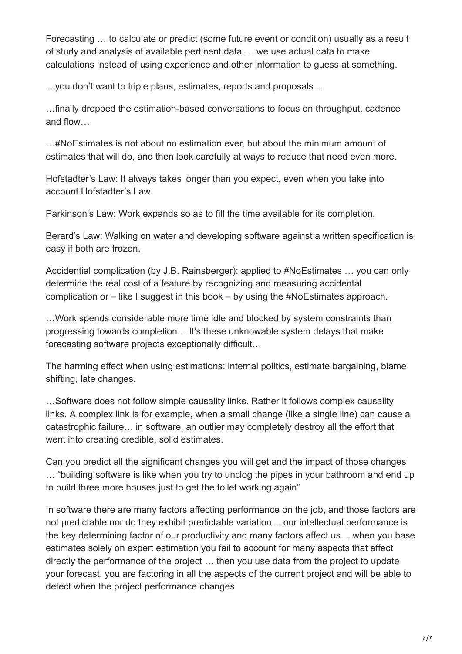Forecasting … to calculate or predict (some future event or condition) usually as a result of study and analysis of available pertinent data … we use actual data to make calculations instead of using experience and other information to guess at something.

…you don't want to triple plans, estimates, reports and proposals…

…finally dropped the estimation-based conversations to focus on throughput, cadence and flow…

…#NoEstimates is not about no estimation ever, but about the minimum amount of estimates that will do, and then look carefully at ways to reduce that need even more.

Hofstadter's Law: It always takes longer than you expect, even when you take into account Hofstadter's Law.

Parkinson's Law: Work expands so as to fill the time available for its completion.

Berard's Law: Walking on water and developing software against a written specification is easy if both are frozen.

Accidential complication (by J.B. Rainsberger): applied to #NoEstimates … you can only determine the real cost of a feature by recognizing and measuring accidental complication or – like I suggest in this book – by using the #NoEstimates approach.

…Work spends considerable more time idle and blocked by system constraints than progressing towards completion… It's these unknowable system delays that make forecasting software projects exceptionally difficult…

The harming effect when using estimations: internal politics, estimate bargaining, blame shifting, late changes.

…Software does not follow simple causality links. Rather it follows complex causality links. A complex link is for example, when a small change (like a single line) can cause a catastrophic failure… in software, an outlier may completely destroy all the effort that went into creating credible, solid estimates.

Can you predict all the significant changes you will get and the impact of those changes … "building software is like when you try to unclog the pipes in your bathroom and end up to build three more houses just to get the toilet working again"

In software there are many factors affecting performance on the job, and those factors are not predictable nor do they exhibit predictable variation… our intellectual performance is the key determining factor of our productivity and many factors affect us… when you base estimates solely on expert estimation you fail to account for many aspects that affect directly the performance of the project … then you use data from the project to update your forecast, you are factoring in all the aspects of the current project and will be able to detect when the project performance changes.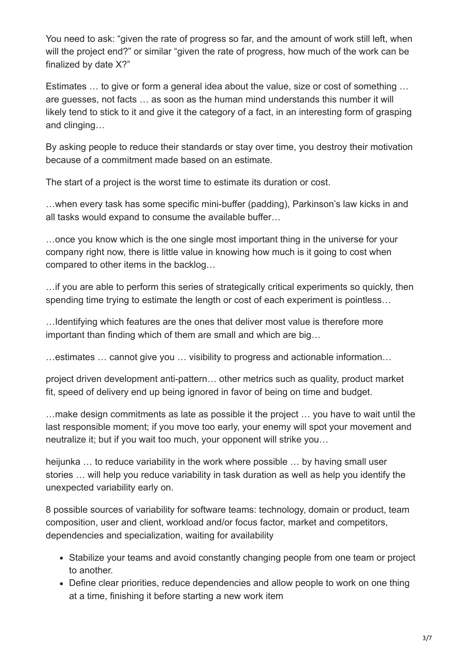You need to ask: "given the rate of progress so far, and the amount of work still left, when will the project end?" or similar "given the rate of progress, how much of the work can be finalized by date X?"

Estimates … to give or form a general idea about the value, size or cost of something … are guesses, not facts … as soon as the human mind understands this number it will likely tend to stick to it and give it the category of a fact, in an interesting form of grasping and clinging…

By asking people to reduce their standards or stay over time, you destroy their motivation because of a commitment made based on an estimate.

The start of a project is the worst time to estimate its duration or cost.

…when every task has some specific mini-buffer (padding), Parkinson's law kicks in and all tasks would expand to consume the available buffer…

…once you know which is the one single most important thing in the universe for your company right now, there is little value in knowing how much is it going to cost when compared to other items in the backlog…

…if you are able to perform this series of strategically critical experiments so quickly, then spending time trying to estimate the length or cost of each experiment is pointless...

…Identifying which features are the ones that deliver most value is therefore more important than finding which of them are small and which are big…

…estimates … cannot give you … visibility to progress and actionable information…

project driven development anti-pattern… other metrics such as quality, product market fit, speed of delivery end up being ignored in favor of being on time and budget.

…make design commitments as late as possible it the project … you have to wait until the last responsible moment; if you move too early, your enemy will spot your movement and neutralize it; but if you wait too much, your opponent will strike you…

heijunka … to reduce variability in the work where possible … by having small user stories … will help you reduce variability in task duration as well as help you identify the unexpected variability early on.

8 possible sources of variability for software teams: technology, domain or product, team composition, user and client, workload and/or focus factor, market and competitors, dependencies and specialization, waiting for availability

- Stabilize your teams and avoid constantly changing people from one team or project to another.
- Define clear priorities, reduce dependencies and allow people to work on one thing at a time, finishing it before starting a new work item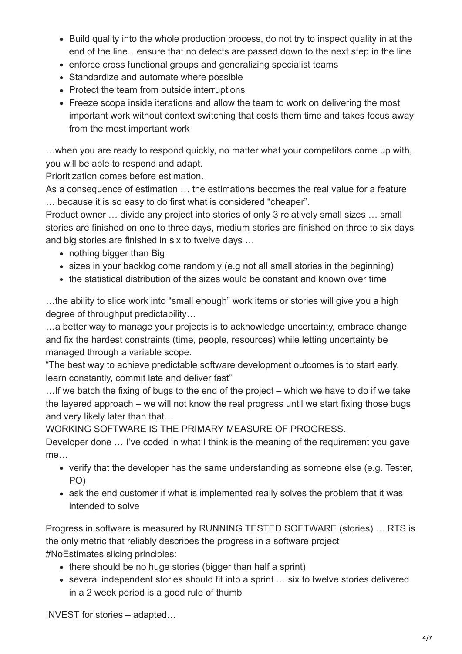- Build quality into the whole production process, do not try to inspect quality in at the end of the line…ensure that no defects are passed down to the next step in the line
- enforce cross functional groups and generalizing specialist teams
- Standardize and automate where possible
- Protect the team from outside interruptions
- Freeze scope inside iterations and allow the team to work on delivering the most important work without context switching that costs them time and takes focus away from the most important work

…when you are ready to respond quickly, no matter what your competitors come up with, you will be able to respond and adapt.

Prioritization comes before estimation.

As a consequence of estimation ... the estimations becomes the real value for a feature … because it is so easy to do first what is considered "cheaper".

Product owner … divide any project into stories of only 3 relatively small sizes … small stories are finished on one to three days, medium stories are finished on three to six days and big stories are finished in six to twelve days …

- nothing bigger than Big
- sizes in your backlog come randomly (e.g not all small stories in the beginning)
- the statistical distribution of the sizes would be constant and known over time

…the ability to slice work into "small enough" work items or stories will give you a high degree of throughput predictability…

…a better way to manage your projects is to acknowledge uncertainty, embrace change and fix the hardest constraints (time, people, resources) while letting uncertainty be managed through a variable scope.

"The best way to achieve predictable software development outcomes is to start early, learn constantly, commit late and deliver fast"

…If we batch the fixing of bugs to the end of the project – which we have to do if we take the layered approach – we will not know the real progress until we start fixing those bugs and very likely later than that…

WORKING SOFTWARE IS THE PRIMARY MEASURE OF PROGRESS.

Developer done … I've coded in what I think is the meaning of the requirement you gave me...

- verify that the developer has the same understanding as someone else (e.g. Tester, PO)
- ask the end customer if what is implemented really solves the problem that it was intended to solve

Progress in software is measured by RUNNING TESTED SOFTWARE (stories) … RTS is the only metric that reliably describes the progress in a software project #NoEstimates slicing principles:

- there should be no huge stories (bigger than half a sprint)
- several independent stories should fit into a sprint … six to twelve stories delivered in a 2 week period is a good rule of thumb

INVEST for stories – adapted…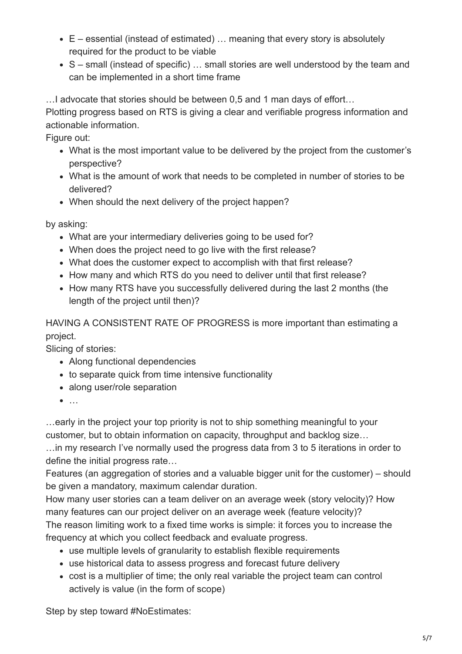- E essential (instead of estimated) … meaning that every story is absolutely required for the product to be viable
- S small (instead of specific) … small stories are well understood by the team and can be implemented in a short time frame

…I advocate that stories should be between 0,5 and 1 man days of effort…

Plotting progress based on RTS is giving a clear and verifiable progress information and actionable information.

Figure out:

- What is the most important value to be delivered by the project from the customer's perspective?
- What is the amount of work that needs to be completed in number of stories to be delivered?
- When should the next delivery of the project happen?

by asking:

- What are your intermediary deliveries going to be used for?
- When does the project need to go live with the first release?
- What does the customer expect to accomplish with that first release?
- How many and which RTS do you need to deliver until that first release?
- How many RTS have you successfully delivered during the last 2 months (the length of the project until then)?

HAVING A CONSISTENT RATE OF PROGRESS is more important than estimating a project.

Slicing of stories:

- Along functional dependencies
- to separate quick from time intensive functionality
- along user/role separation
- $\bullet$  ...

…early in the project your top priority is not to ship something meaningful to your customer, but to obtain information on capacity, throughput and backlog size…

…in my research I've normally used the progress data from 3 to 5 iterations in order to define the initial progress rate…

Features (an aggregation of stories and a valuable bigger unit for the customer) – should be given a mandatory, maximum calendar duration.

How many user stories can a team deliver on an average week (story velocity)? How many features can our project deliver on an average week (feature velocity)? The reason limiting work to a fixed time works is simple: it forces you to increase the frequency at which you collect feedback and evaluate progress.

- use multiple levels of granularity to establish flexible requirements
- use historical data to assess progress and forecast future delivery
- cost is a multiplier of time; the only real variable the project team can control actively is value (in the form of scope)

Step by step toward #NoEstimates: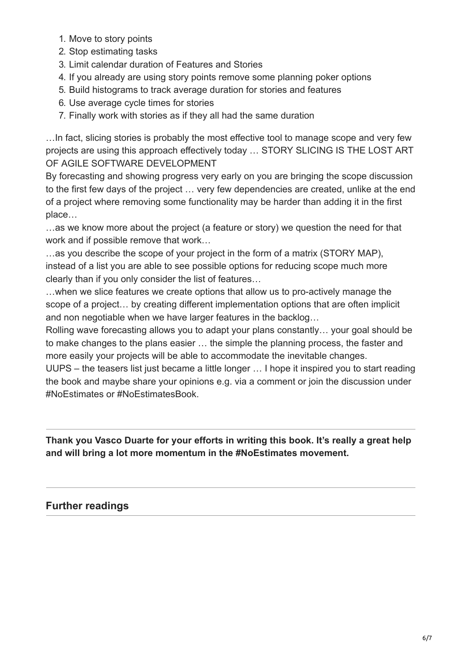- 1. Move to story points
- 2. Stop estimating tasks
- 3. Limit calendar duration of Features and Stories
- 4. If you already are using story points remove some planning poker options
- 5. Build histograms to track average duration for stories and features
- 6. Use average cycle times for stories
- 7. Finally work with stories as if they all had the same duration

…In fact, slicing stories is probably the most effective tool to manage scope and very few projects are using this approach effectively today … STORY SLICING IS THE LOST ART OF AGILE SOFTWARE DEVELOPMENT

By forecasting and showing progress very early on you are bringing the scope discussion to the first few days of the project … very few dependencies are created, unlike at the end of a project where removing some functionality may be harder than adding it in the first place…

…as we know more about the project (a feature or story) we question the need for that work and if possible remove that work…

…as you describe the scope of your project in the form of a matrix (STORY MAP), instead of a list you are able to see possible options for reducing scope much more clearly than if you only consider the list of features…

…when we slice features we create options that allow us to pro-actively manage the scope of a project… by creating different implementation options that are often implicit and non negotiable when we have larger features in the backlog…

Rolling wave forecasting allows you to adapt your plans constantly… your goal should be to make changes to the plans easier … the simple the planning process, the faster and more easily your projects will be able to accommodate the inevitable changes.

UUPS – the teasers list just became a little longer … I hope it inspired you to start reading the book and maybe share your opinions e.g. via a comment or join the discussion under #NoEstimates or #NoEstimatesBook.

**Thank you Vasco Duarte for your efforts in writing this book. It's really a great help and will bring a lot more momentum in the #NoEstimates movement.**

## **Further readings**